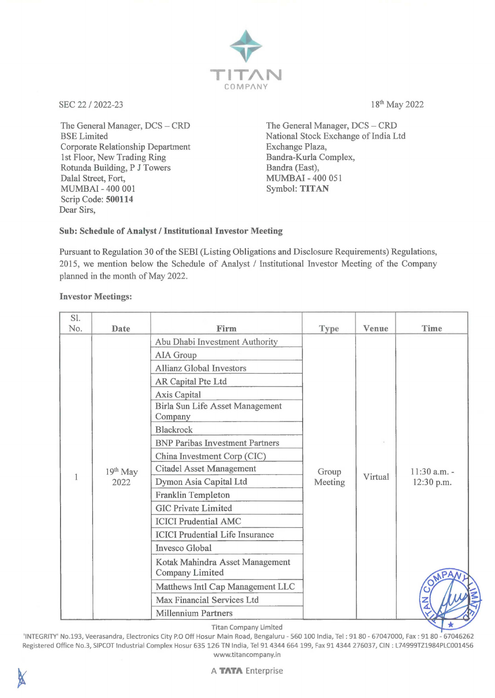

SEC 22 / 2022-23 18<sup>th</sup> May 2022

The General Manager, DCS - CRD BSE Limited Corporate Relationship Department 1st Floor, New Trading Ring Rotunda Building, P J Towers Dalal Street, Fort, MUMBAI - 400 001 Scrip Code: **500114**  Dear Sirs,

The General Manager, DCS - CRD National Stock Exchange of India Ltd Exchange Plaza, Bandra-Kurla Complex, Bandra (East), MUMBAl-400 051 Symbol: **TITAN** 

## **Sub: Schedule of Analyst/ Institutional Investor Meeting**

Pursuant to Regulation 30 of the SEBI (Listing Obligations and Disclosure Requirements) Regulations, 2015, we mention below the Schedule of Analyst / Institutional Investor Meeting of the Company planned in the month of May 2022.

## **Investor Meetings:**

| S1. |                    |                                                                                                                                                                                                                                                                                                                                                                                                                 |                  |                         |                                      |
|-----|--------------------|-----------------------------------------------------------------------------------------------------------------------------------------------------------------------------------------------------------------------------------------------------------------------------------------------------------------------------------------------------------------------------------------------------------------|------------------|-------------------------|--------------------------------------|
| No. | <b>Date</b>        | Firm                                                                                                                                                                                                                                                                                                                                                                                                            | <b>Type</b>      |                         |                                      |
| 1   | $19th$ May<br>2022 | Abu Dhabi Investment Authority<br>AIA Group<br><b>Allianz Global Investors</b><br>AR Capital Pte Ltd<br>Axis Capital<br>Birla Sun Life Asset Management<br>Company<br><b>Blackrock</b><br><b>BNP Paribas Investment Partners</b><br>China Investment Corp (CIC)<br><b>Citadel Asset Management</b><br>Dymon Asia Capital Ltd<br>Franklin Templeton<br><b>GIC Private Limited</b><br><b>ICICI Prudential AMC</b> | Group<br>Meeting | <b>Venue</b><br>Virtual | Time<br>$11:30$ a.m. -<br>12:30 p.m. |
|     |                    | <b>ICICI Prudential Life Insurance</b><br>Invesco Global<br>Kotak Mahindra Asset Management<br>Company Limited<br>Matthews Intl Cap Management LLC                                                                                                                                                                                                                                                              |                  |                         |                                      |
|     |                    | Max Financial Services Ltd<br><b>Millennium Partners</b>                                                                                                                                                                                                                                                                                                                                                        |                  |                         |                                      |
|     |                    | Titan Company Limited                                                                                                                                                                                                                                                                                                                                                                                           |                  |                         |                                      |

Titan Company Limited

'INTEGRITY' No.193, Veerasandra, Electronics City P.O Off Hosur Main Road, Bengaluru - 560 100 India, Tel : 91 80 - 67047000, Fax : 91 80 - 67046262 Registered Office No.3, SIPCOT Industrial Complex Hosur 635 126 TN India, Tel 914344 664 199, Fax 914344 276037, CIN : L74999TZ1984PLC001456 www.titancompany.in